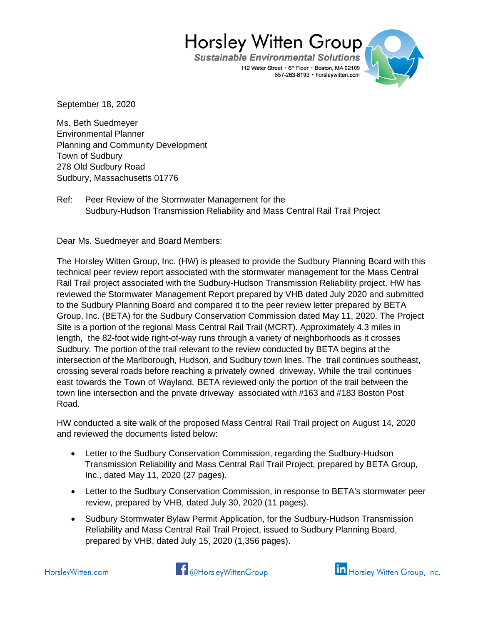**Sustainable Environmental Solutions** 112 Water Street · 6th Floor · Boston, MA 02109 857-263-8193 · horsleywitten.com



September 18, 2020

Ms. Beth Suedmeyer Environmental Planner Planning and Community Development Town of Sudbury 278 Old Sudbury Road Sudbury, Massachusetts 01776

Ref: Peer Review of the Stormwater Management for the Sudbury-Hudson Transmission Reliability and Mass Central Rail Trail Project

Dear Ms. Suedmeyer and Board Members:

The Horsley Witten Group, Inc. (HW) is pleased to provide the Sudbury Planning Board with this technical peer review report associated with the stormwater management for the Mass Central Rail Trail project associated with the Sudbury-Hudson Transmission Reliability project. HW has reviewed the Stormwater Management Report prepared by VHB dated July 2020 and submitted to the Sudbury Planning Board and compared it to the peer review letter prepared by BETA Group, Inc. (BETA) for the Sudbury Conservation Commission dated May 11, 2020. The Project Site is a portion of the regional Mass Central Rail Trail (MCRT). Approximately 4.3 miles in length, the 82-foot wide right-of-way runs through a variety of neighborhoods as it crosses Sudbury. The portion of the trail relevant to the review conducted by BETA begins at the intersection of the Marlborough, Hudson, and Sudbury town lines. The trail continues southeast, crossing several roads before reaching a privately owned driveway. While the trail continues east towards the Town of Wayland, BETA reviewed only the portion of the trail between the town line intersection and the private driveway associated with #163 and #183 Boston Post Road.

HW conducted a site walk of the proposed Mass Central Rail Trail project on August 14, 2020 and reviewed the documents listed below:

- Letter to the Sudbury Conservation Commission, regarding the Sudbury-Hudson Transmission Reliability and Mass Central Rail Trail Project, prepared by BETA Group, Inc., dated May 11, 2020 (27 pages).
- Letter to the Sudbury Conservation Commission, in response to BETA's stormwater peer review, prepared by VHB, dated July 30, 2020 (11 pages).
- Sudbury Stormwater Bylaw Permit Application, for the Sudbury-Hudson Transmission Reliability and Mass Central Rail Trail Project, issued to Sudbury Planning Board, prepared by VHB, dated July 15, 2020 (1,356 pages).

**14** @HorsleyWittenGroup

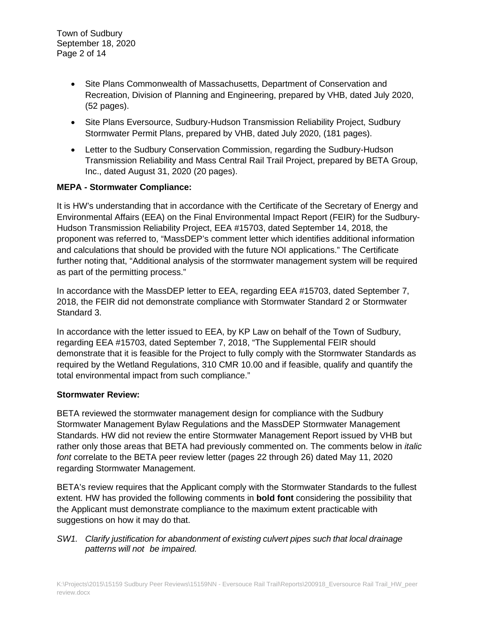- Site Plans Commonwealth of Massachusetts, Department of Conservation and Recreation, Division of Planning and Engineering, prepared by VHB, dated July 2020, (52 pages).
- Site Plans Eversource, Sudbury-Hudson Transmission Reliability Project, Sudbury Stormwater Permit Plans, prepared by VHB, dated July 2020, (181 pages).
- Letter to the Sudbury Conservation Commission, regarding the Sudbury-Hudson Transmission Reliability and Mass Central Rail Trail Project, prepared by BETA Group, Inc., dated August 31, 2020 (20 pages).

## **MEPA - Stormwater Compliance:**

It is HW's understanding that in accordance with the Certificate of the Secretary of Energy and Environmental Affairs (EEA) on the Final Environmental Impact Report (FEIR) for the Sudbury-Hudson Transmission Reliability Project, EEA #15703, dated September 14, 2018, the proponent was referred to, "MassDEP's comment letter which identifies additional information and calculations that should be provided with the future NOI applications." The Certificate further noting that, "Additional analysis of the stormwater management system will be required as part of the permitting process."

In accordance with the MassDEP letter to EEA, regarding EEA #15703, dated September 7, 2018, the FEIR did not demonstrate compliance with Stormwater Standard 2 or Stormwater Standard 3.

In accordance with the letter issued to EEA, by KP Law on behalf of the Town of Sudbury, regarding EEA #15703, dated September 7, 2018, "The Supplemental FEIR should demonstrate that it is feasible for the Project to fully comply with the Stormwater Standards as required by the Wetland Regulations, 310 CMR 10.00 and if feasible, qualify and quantify the total environmental impact from such compliance."

## **Stormwater Review:**

BETA reviewed the stormwater management design for compliance with the Sudbury Stormwater Management Bylaw Regulations and the MassDEP Stormwater Management Standards. HW did not review the entire Stormwater Management Report issued by VHB but rather only those areas that BETA had previously commented on. The comments below in *italic font* correlate to the BETA peer review letter (pages 22 through 26) dated May 11, 2020 regarding Stormwater Management.

BETA's review requires that the Applicant comply with the Stormwater Standards to the fullest extent. HW has provided the following comments in **bold font** considering the possibility that the Applicant must demonstrate compliance to the maximum extent practicable with suggestions on how it may do that.

## *SW1. Clarify justification for abandonment of existing culvert pipes such that local drainage patterns will not be impaired.*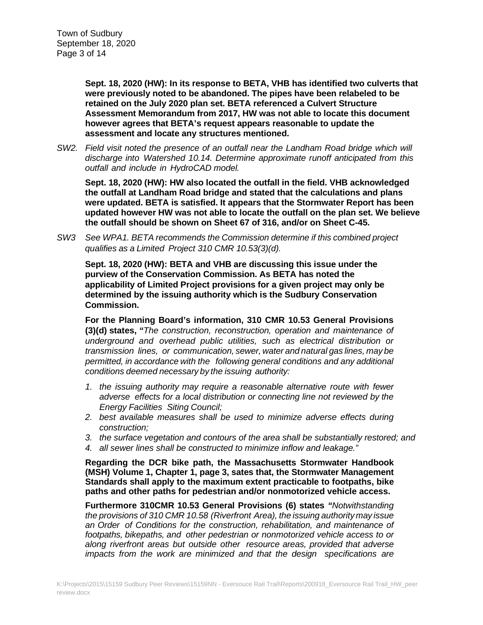**Sept. 18, 2020 (HW): In its response to BETA, VHB has identified two culverts that were previously noted to be abandoned. The pipes have been relabeled to be retained on the July 2020 plan set. BETA referenced a Culvert Structure Assessment Memorandum from 2017, HW was not able to locate this document however agrees that BETA's request appears reasonable to update the assessment and locate any structures mentioned.**

*SW2. Field visit noted the presence of an outfall near the Landham Road bridge which will discharge into Watershed 10.14. Determine approximate runoff anticipated from this outfall and include in HydroCAD model.*

**Sept. 18, 2020 (HW): HW also located the outfall in the field. VHB acknowledged the outfall at Landham Road bridge and stated that the calculations and plans were updated. BETA is satisfied. It appears that the Stormwater Report has been updated however HW was not able to locate the outfall on the plan set. We believe the outfall should be shown on Sheet 67 of 316, and/or on Sheet C-45.**

*SW3 See WPA1. BETA recommends the Commission determine if this combined project qualifies as a Limited Project 310 CMR 10.53(3)(d).*

**Sept. 18, 2020 (HW): BETA and VHB are discussing this issue under the purview of the Conservation Commission. As BETA has noted the applicability of Limited Project provisions for a given project may only be determined by the issuing authority which is the Sudbury Conservation Commission.**

**For the Planning Board's information, 310 CMR 10.53 General Provisions (3)(d) states,** *"The construction, reconstruction, operation and maintenance of underground and overhead public utilities, such as electrical distribution or transmission lines, or communication, sewer, water and natural gas lines, may be permitted, in accordance with the following general conditions and any additional conditions deemed necessary by the issuing authority:*

- *1. the issuing authority may require a reasonable alternative route with fewer adverse effects for a local distribution or connecting line not reviewed by the Energy Facilities Siting Council;*
- *2. best available measures shall be used to minimize adverse effects during construction;*
- *3. the surface vegetation and contours of the area shall be substantially restored; and*
- *4. all sewer lines shall be constructed to minimize inflow and leakage."*

**Regarding the DCR bike path, the Massachusetts Stormwater Handbook (MSH) Volume 1, Chapter 1, page 3, sates that, the Stormwater Management Standards shall apply to the maximum extent practicable to footpaths, bike paths and other paths for pedestrian and/or nonmotorized vehicle access.** 

**Furthermore 310CMR 10.53 General Provisions (6) states** *"Notwithstanding the provisions of 310 CMR 10.58 (Riverfront Area), the issuing authority may issue an Order of Conditions for the construction, rehabilitation, and maintenance of footpaths, bikepaths, and other pedestrian or nonmotorized vehicle access to or along riverfront areas but outside other resource areas, provided that adverse impacts from the work are minimized and that the design specifications are*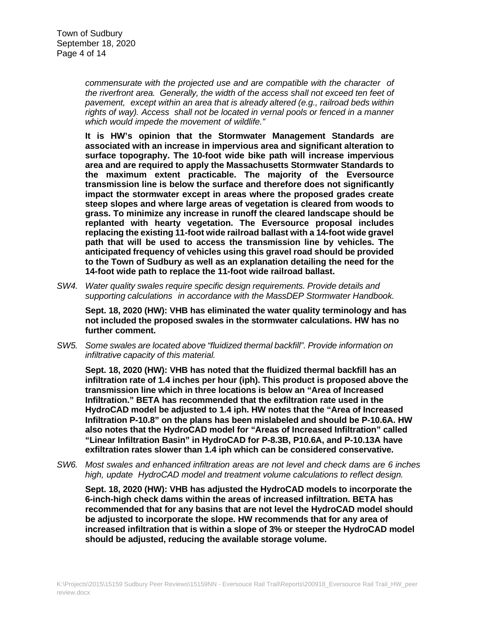*commensurate with the projected use and are compatible with the character of the riverfront area. Generally, the width of the access shall not exceed ten feet of pavement, except within an area that is already altered (e.g., railroad beds within rights of way). Access shall not be located in vernal pools or fenced in a manner which would impede the movement of wildlife."*

**It is HW's opinion that the Stormwater Management Standards are associated with an increase in impervious area and significant alteration to surface topography. The 10-foot wide bike path will increase impervious area and are required to apply the Massachusetts Stormwater Standards to the maximum extent practicable. The majority of the Eversource transmission line is below the surface and therefore does not significantly impact the stormwater except in areas where the proposed grades create steep slopes and where large areas of vegetation is cleared from woods to grass. To minimize any increase in runoff the cleared landscape should be replanted with hearty vegetation. The Eversource proposal includes replacing the existing 11-foot wide railroad ballast with a 14-foot wide gravel path that will be used to access the transmission line by vehicles. The anticipated frequency of vehicles using this gravel road should be provided to the Town of Sudbury as well as an explanation detailing the need for the 14-foot wide path to replace the 11-foot wide railroad ballast.**

*SW4. Water quality swales require specific design requirements. Provide details and supporting calculations in accordance with the MassDEP Stormwater Handbook.*

**Sept. 18, 2020 (HW): VHB has eliminated the water quality terminology and has not included the proposed swales in the stormwater calculations. HW has no further comment.**

*SW5. Some swales are located above "fluidized thermal backfill". Provide information on infiltrative capacity of this material.*

**Sept. 18, 2020 (HW): VHB has noted that the fluidized thermal backfill has an infiltration rate of 1.4 inches per hour (iph). This product is proposed above the transmission line which in three locations is below an "Area of Increased Infiltration." BETA has recommended that the exfiltration rate used in the HydroCAD model be adjusted to 1.4 iph. HW notes that the "Area of Increased Infiltration P-10.8" on the plans has been mislabeled and should be P-10.6A. HW also notes that the HydroCAD model for "Areas of Increased Infiltration" called "Linear Infiltration Basin" in HydroCAD for P-8.3B, P10.6A, and P-10.13A have exfiltration rates slower than 1.4 iph which can be considered conservative.**

*SW6. Most swales and enhanced infiltration areas are not level and check dams are 6 inches high, update HydroCAD model and treatment volume calculations to reflect design.*

**Sept. 18, 2020 (HW): VHB has adjusted the HydroCAD models to incorporate the 6-inch-high check dams within the areas of increased infiltration. BETA has recommended that for any basins that are not level the HydroCAD model should be adjusted to incorporate the slope. HW recommends that for any area of increased infiltration that is within a slope of 3% or steeper the HydroCAD model should be adjusted, reducing the available storage volume.**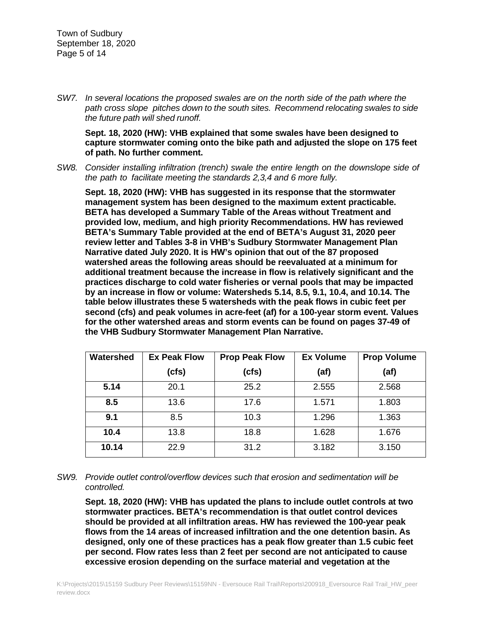*SW7. In several locations the proposed swales are on the north side of the path where the path cross slope pitches down to the south sites. Recommend relocating swales to side the future path will shed runoff.*

**Sept. 18, 2020 (HW): VHB explained that some swales have been designed to capture stormwater coming onto the bike path and adjusted the slope on 175 feet of path. No further comment.**

*SW8. Consider installing infiltration (trench) swale the entire length on the downslope side of the path to facilitate meeting the standards 2,3,4 and 6 more fully.*

**Sept. 18, 2020 (HW): VHB has suggested in its response that the stormwater management system has been designed to the maximum extent practicable. BETA has developed a Summary Table of the Areas without Treatment and provided low, medium, and high priority Recommendations. HW has reviewed BETA's Summary Table provided at the end of BETA's August 31, 2020 peer review letter and Tables 3-8 in VHB's Sudbury Stormwater Management Plan Narrative dated July 2020. It is HW's opinion that out of the 87 proposed watershed areas the following areas should be reevaluated at a minimum for additional treatment because the increase in flow is relatively significant and the practices discharge to cold water fisheries or vernal pools that may be impacted by an increase in flow or volume: Watersheds 5.14, 8.5, 9.1, 10.4, and 10.14. The table below illustrates these 5 watersheds with the peak flows in cubic feet per second (cfs) and peak volumes in acre-feet (af) for a 100-year storm event. Values for the other watershed areas and storm events can be found on pages 37-49 of the VHB Sudbury Stormwater Management Plan Narrative.**

| Watershed | <b>Ex Peak Flow</b> | <b>Prop Peak Flow</b> | <b>Ex Volume</b> | <b>Prop Volume</b> |
|-----------|---------------------|-----------------------|------------------|--------------------|
|           | (cfs)               | (cfs)                 | (af)             | (af)               |
| 5.14      | 20.1                | 25.2                  | 2.555            | 2.568              |
| 8.5       | 13.6                | 17.6                  | 1.571            | 1.803              |
| 9.1       | 8.5                 | 10.3                  | 1.296            | 1.363              |
| 10.4      | 13.8                | 18.8                  | 1.628            | 1.676              |
| 10.14     | 22.9                | 31.2                  | 3.182            | 3.150              |

## *SW9. Provide outlet control/overflow devices such that erosion and sedimentation will be controlled.*

**Sept. 18, 2020 (HW): VHB has updated the plans to include outlet controls at two stormwater practices. BETA's recommendation is that outlet control devices should be provided at all infiltration areas. HW has reviewed the 100-year peak flows from the 14 areas of increased infiltration and the one detention basin. As designed, only one of these practices has a peak flow greater than 1.5 cubic feet per second. Flow rates less than 2 feet per second are not anticipated to cause excessive erosion depending on the surface material and vegetation at the**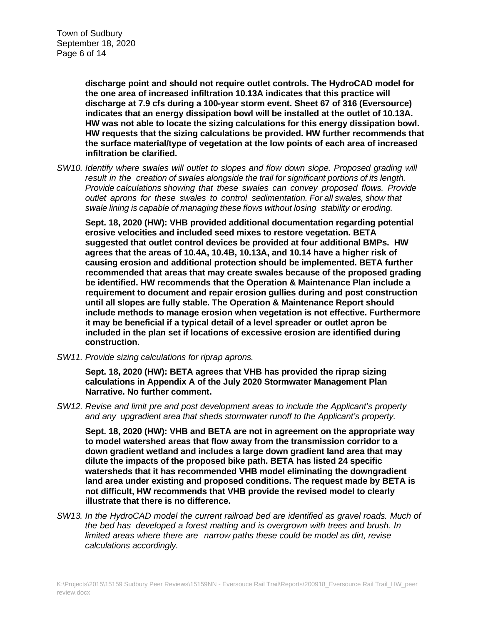**discharge point and should not require outlet controls. The HydroCAD model for the one area of increased infiltration 10.13A indicates that this practice will discharge at 7.9 cfs during a 100-year storm event. Sheet 67 of 316 (Eversource) indicates that an energy dissipation bowl will be installed at the outlet of 10.13A. HW was not able to locate the sizing calculations for this energy dissipation bowl. HW requests that the sizing calculations be provided. HW further recommends that the surface material/type of vegetation at the low points of each area of increased infiltration be clarified.**

*SW10. Identify where swales will outlet to slopes and flow down slope. Proposed grading will result in the creation of swales alongside the trail for significant portions of its length. Provide calculations showing that these swales can convey proposed flows. Provide outlet aprons for these swales to control sedimentation. For all swales, show that swale lining is capable of managing these flows without losing stability or eroding.*

**Sept. 18, 2020 (HW): VHB provided additional documentation regarding potential erosive velocities and included seed mixes to restore vegetation. BETA suggested that outlet control devices be provided at four additional BMPs. HW agrees that the areas of 10.4A, 10.4B, 10.13A, and 10.14 have a higher risk of causing erosion and additional protection should be implemented. BETA further recommended that areas that may create swales because of the proposed grading be identified. HW recommends that the Operation & Maintenance Plan include a requirement to document and repair erosion gullies during and post construction until all slopes are fully stable. The Operation & Maintenance Report should include methods to manage erosion when vegetation is not effective. Furthermore it may be beneficial if a typical detail of a level spreader or outlet apron be included in the plan set if locations of excessive erosion are identified during construction.**

*SW11. Provide sizing calculations for riprap aprons.*

**Sept. 18, 2020 (HW): BETA agrees that VHB has provided the riprap sizing calculations in Appendix A of the July 2020 Stormwater Management Plan Narrative. No further comment.**

*SW12. Revise and limit pre and post development areas to include the Applicant's property and any upgradient area that sheds stormwater runoff to the Applicant's property.*

**Sept. 18, 2020 (HW): VHB and BETA are not in agreement on the appropriate way to model watershed areas that flow away from the transmission corridor to a down gradient wetland and includes a large down gradient land area that may dilute the impacts of the proposed bike path. BETA has listed 24 specific watersheds that it has recommended VHB model eliminating the downgradient land area under existing and proposed conditions. The request made by BETA is not difficult, HW recommends that VHB provide the revised model to clearly illustrate that there is no difference.**

*SW13. In the HydroCAD model the current railroad bed are identified as gravel roads. Much of the bed has developed a forest matting and is overgrown with trees and brush. In limited areas where there are narrow paths these could be model as dirt, revise calculations accordingly.*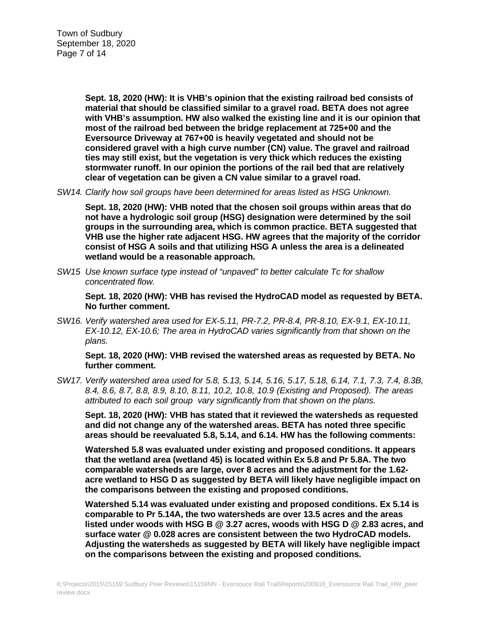**Sept. 18, 2020 (HW): It is VHB's opinion that the existing railroad bed consists of material that should be classified similar to a gravel road. BETA does not agree with VHB's assumption. HW also walked the existing line and it is our opinion that most of the railroad bed between the bridge replacement at 725+00 and the Eversource Driveway at 767+00 is heavily vegetated and should not be considered gravel with a high curve number (CN) value. The gravel and railroad ties may still exist, but the vegetation is very thick which reduces the existing stormwater runoff. In our opinion the portions of the rail bed that are relatively clear of vegetation can be given a CN value similar to a gravel road.**

*SW14. Clarify how soil groups have been determined for areas listed as HSG Unknown.*

**Sept. 18, 2020 (HW): VHB noted that the chosen soil groups within areas that do not have a hydrologic soil group (HSG) designation were determined by the soil groups in the surrounding area, which is common practice. BETA suggested that VHB use the higher rate adjacent HSG. HW agrees that the majority of the corridor consist of HSG A soils and that utilizing HSG A unless the area is a delineated wetland would be a reasonable approach.**

*SW15 Use known surface type instead of "unpaved" to better calculate Tc for shallow concentrated flow.*

**Sept. 18, 2020 (HW): VHB has revised the HydroCAD model as requested by BETA. No further comment.**

*SW16. Verify watershed area used for EX-5.11, PR-7.2, PR-8.4, PR-8.10, EX-9.1, EX-10.11, EX-10.12, EX-10.6; The area in HydroCAD varies significantly from that shown on the plans.*

**Sept. 18, 2020 (HW): VHB revised the watershed areas as requested by BETA. No further comment.** 

*SW17. Verify watershed area used for 5.8, 5.13, 5.14, 5.16, 5.17, 5.18, 6.14, 7.1, 7.3, 7.4, 8.3B, 8.4, 8.6, 8.7, 8.8, 8.9, 8.10, 8.11, 10.2, 10.8, 10.9 (Existing and Proposed). The areas attributed to each soil group vary significantly from that shown on the plans.*

**Sept. 18, 2020 (HW): VHB has stated that it reviewed the watersheds as requested and did not change any of the watershed areas. BETA has noted three specific areas should be reevaluated 5.8, 5.14, and 6.14. HW has the following comments:**

**Watershed 5.8 was evaluated under existing and proposed conditions. It appears that the wetland area (wetland 45) is located within Ex 5.8 and Pr 5.8A. The two comparable watersheds are large, over 8 acres and the adjustment for the 1.62 acre wetland to HSG D as suggested by BETA will likely have negligible impact on the comparisons between the existing and proposed conditions.**

**Watershed 5.14 was evaluated under existing and proposed conditions. Ex 5.14 is comparable to Pr 5.14A, the two watersheds are over 13.5 acres and the areas listed under woods with HSG B @ 3.27 acres, woods with HSG D @ 2.83 acres, and surface water @ 0.028 acres are consistent between the two HydroCAD models. Adjusting the watersheds as suggested by BETA will likely have negligible impact on the comparisons between the existing and proposed conditions.**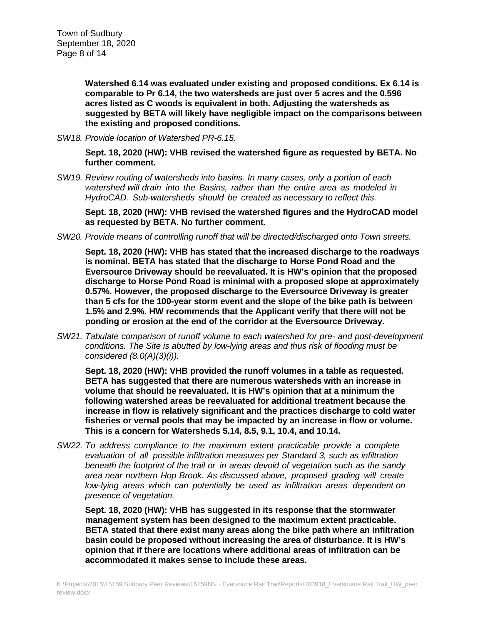**Watershed 6.14 was evaluated under existing and proposed conditions. Ex 6.14 is comparable to Pr 6.14, the two watersheds are just over 5 acres and the 0.596 acres listed as C woods is equivalent in both. Adjusting the watersheds as suggested by BETA will likely have negligible impact on the comparisons between the existing and proposed conditions.**

*SW18. Provide location of Watershed PR-6.15.*

**Sept. 18, 2020 (HW): VHB revised the watershed figure as requested by BETA. No further comment.**

*SW19. Review routing of watersheds into basins. In many cases, only a portion of each watershed will drain into the Basins, rather than the entire area as modeled in HydroCAD. Sub-watersheds should be created as necessary to reflect this.*

**Sept. 18, 2020 (HW): VHB revised the watershed figures and the HydroCAD model as requested by BETA. No further comment.**

*SW20. Provide means of controlling runoff that will be directed/discharged onto Town streets.*

**Sept. 18, 2020 (HW): VHB has stated that the increased discharge to the roadways is nominal. BETA has stated that the discharge to Horse Pond Road and the Eversource Driveway should be reevaluated. It is HW's opinion that the proposed discharge to Horse Pond Road is minimal with a proposed slope at approximately 0.57%. However, the proposed discharge to the Eversource Driveway is greater than 5 cfs for the 100-year storm event and the slope of the bike path is between 1.5% and 2.9%. HW recommends that the Applicant verify that there will not be ponding or erosion at the end of the corridor at the Eversource Driveway.**

*SW21. Tabulate comparison of runoff volume to each watershed for pre- and post-development conditions. The Site is abutted by low-lying areas and thus risk of flooding must be considered (8.0(A)(3)(i)).*

**Sept. 18, 2020 (HW): VHB provided the runoff volumes in a table as requested. BETA has suggested that there are numerous watersheds with an increase in volume that should be reevaluated. It is HW's opinion that at a minimum the following watershed areas be reevaluated for additional treatment because the increase in flow is relatively significant and the practices discharge to cold water fisheries or vernal pools that may be impacted by an increase in flow or volume. This is a concern for Watersheds 5.14, 8.5, 9.1, 10.4, and 10.14.**

*SW22. To address compliance to the maximum extent practicable provide a complete evaluation of all possible infiltration measures per Standard 3, such as infiltration beneath the footprint of the trail or in areas devoid of vegetation such as the sandy area near northern Hop Brook. As discussed above, proposed grading will create low-lying areas which can potentially be used as infiltration areas dependent on presence of vegetation.*

**Sept. 18, 2020 (HW): VHB has suggested in its response that the stormwater management system has been designed to the maximum extent practicable. BETA stated that there exist many areas along the bike path where an infiltration basin could be proposed without increasing the area of disturbance. It is HW's opinion that if there are locations where additional areas of infiltration can be accommodated it makes sense to include these areas.**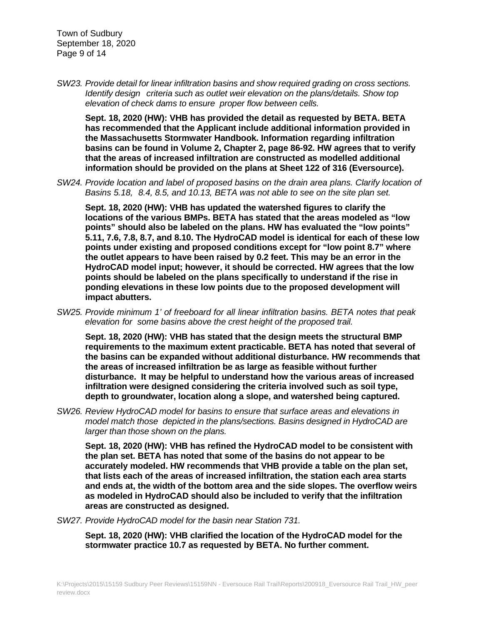Town of Sudbury September 18, 2020 Page 9 of 14

*SW23. Provide detail for linear infiltration basins and show required grading on cross sections. Identify design criteria such as outlet weir elevation on the plans/details. Show top elevation of check dams to ensure proper flow between cells.*

**Sept. 18, 2020 (HW): VHB has provided the detail as requested by BETA. BETA has recommended that the Applicant include additional information provided in the Massachusetts Stormwater Handbook. Information regarding infiltration basins can be found in Volume 2, Chapter 2, page 86-92. HW agrees that to verify that the areas of increased infiltration are constructed as modelled additional information should be provided on the plans at Sheet 122 of 316 (Eversource).**

*SW24. Provide location and label of proposed basins on the drain area plans. Clarify location of Basins 5.18, 8.4, 8.5, and 10.13, BETA was not able to see on the site plan set.*

**Sept. 18, 2020 (HW): VHB has updated the watershed figures to clarify the locations of the various BMPs. BETA has stated that the areas modeled as "low points" should also be labeled on the plans. HW has evaluated the "low points" 5.11, 7.6, 7.8, 8.7, and 8.10. The HydroCAD model is identical for each of these low points under existing and proposed conditions except for "low point 8.7" where the outlet appears to have been raised by 0.2 feet. This may be an error in the HydroCAD model input; however, it should be corrected. HW agrees that the low points should be labeled on the plans specifically to understand if the rise in ponding elevations in these low points due to the proposed development will impact abutters.** 

*SW25. Provide minimum 1' of freeboard for all linear infiltration basins. BETA notes that peak elevation for some basins above the crest height of the proposed trail.*

**Sept. 18, 2020 (HW): VHB has stated that the design meets the structural BMP requirements to the maximum extent practicable. BETA has noted that several of the basins can be expanded without additional disturbance. HW recommends that the areas of increased infiltration be as large as feasible without further disturbance. It may be helpful to understand how the various areas of increased infiltration were designed considering the criteria involved such as soil type, depth to groundwater, location along a slope, and watershed being captured.**

*SW26. Review HydroCAD model for basins to ensure that surface areas and elevations in model match those depicted in the plans/sections. Basins designed in HydroCAD are larger than those shown on the plans.*

**Sept. 18, 2020 (HW): VHB has refined the HydroCAD model to be consistent with the plan set. BETA has noted that some of the basins do not appear to be accurately modeled. HW recommends that VHB provide a table on the plan set, that lists each of the areas of increased infiltration, the station each area starts and ends at, the width of the bottom area and the side slopes. The overflow weirs as modeled in HydroCAD should also be included to verify that the infiltration areas are constructed as designed.**

*SW27. Provide HydroCAD model for the basin near Station 731.*

**Sept. 18, 2020 (HW): VHB clarified the location of the HydroCAD model for the stormwater practice 10.7 as requested by BETA. No further comment.**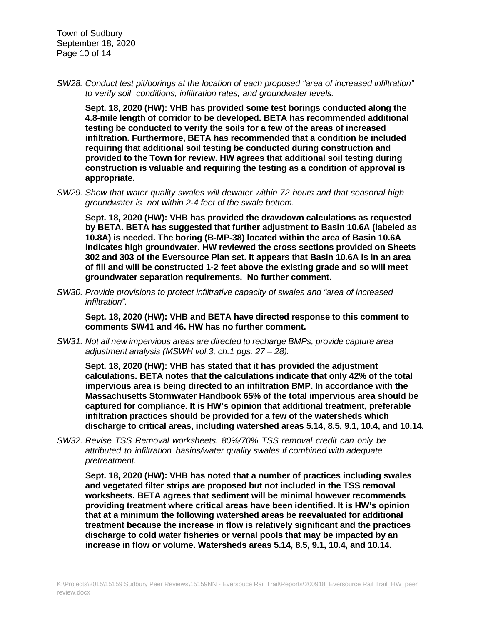Town of Sudbury September 18, 2020 Page 10 of 14

*SW28. Conduct test pit/borings at the location of each proposed "area of increased infiltration" to verify soil conditions, infiltration rates, and groundwater levels.*

**Sept. 18, 2020 (HW): VHB has provided some test borings conducted along the 4.8-mile length of corridor to be developed. BETA has recommended additional testing be conducted to verify the soils for a few of the areas of increased infiltration. Furthermore, BETA has recommended that a condition be included requiring that additional soil testing be conducted during construction and provided to the Town for review. HW agrees that additional soil testing during construction is valuable and requiring the testing as a condition of approval is appropriate.**

*SW29. Show that water quality swales will dewater within 72 hours and that seasonal high groundwater is not within 2-4 feet of the swale bottom.*

**Sept. 18, 2020 (HW): VHB has provided the drawdown calculations as requested by BETA. BETA has suggested that further adjustment to Basin 10.6A (labeled as 10.8A) is needed. The boring (B-MP-38) located within the area of Basin 10.6A indicates high groundwater. HW reviewed the cross sections provided on Sheets 302 and 303 of the Eversource Plan set. It appears that Basin 10.6A is in an area of fill and will be constructed 1-2 feet above the existing grade and so will meet groundwater separation requirements. No further comment.**

*SW30. Provide provisions to protect infiltrative capacity of swales and "area of increased infiltration".*

**Sept. 18, 2020 (HW): VHB and BETA have directed response to this comment to comments SW41 and 46. HW has no further comment.**

*SW31. Not all new impervious areas are directed to recharge BMPs, provide capture area adjustment analysis (MSWH vol.3, ch.1 pgs. 27 – 28).*

**Sept. 18, 2020 (HW): VHB has stated that it has provided the adjustment calculations. BETA notes that the calculations indicate that only 42% of the total impervious area is being directed to an infiltration BMP. In accordance with the Massachusetts Stormwater Handbook 65% of the total impervious area should be captured for compliance. It is HW's opinion that additional treatment, preferable infiltration practices should be provided for a few of the watersheds which discharge to critical areas, including watershed areas 5.14, 8.5, 9.1, 10.4, and 10.14.**

*SW32. Revise TSS Removal worksheets. 80%/70% TSS removal credit can only be attributed to infiltration basins/water quality swales if combined with adequate pretreatment.*

**Sept. 18, 2020 (HW): VHB has noted that a number of practices including swales and vegetated filter strips are proposed but not included in the TSS removal worksheets. BETA agrees that sediment will be minimal however recommends providing treatment where critical areas have been identified. It is HW's opinion that at a minimum the following watershed areas be reevaluated for additional treatment because the increase in flow is relatively significant and the practices discharge to cold water fisheries or vernal pools that may be impacted by an increase in flow or volume. Watersheds areas 5.14, 8.5, 9.1, 10.4, and 10.14.**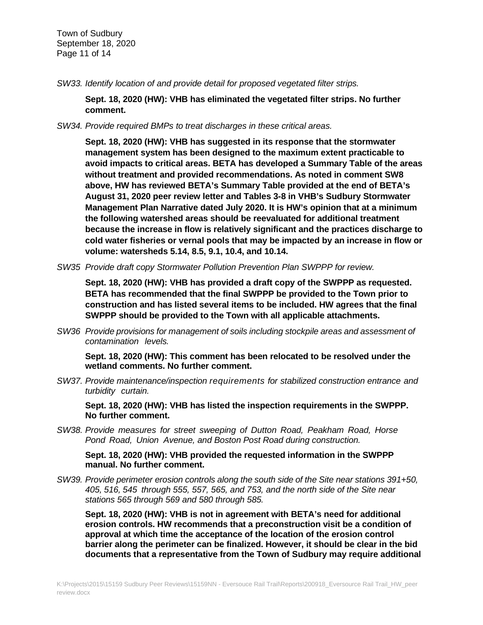Town of Sudbury September 18, 2020 Page 11 of 14

*SW33. Identify location of and provide detail for proposed vegetated filter strips.*

**Sept. 18, 2020 (HW): VHB has eliminated the vegetated filter strips. No further comment.**

*SW34. Provide required BMPs to treat discharges in these critical areas.*

**Sept. 18, 2020 (HW): VHB has suggested in its response that the stormwater management system has been designed to the maximum extent practicable to avoid impacts to critical areas. BETA has developed a Summary Table of the areas without treatment and provided recommendations. As noted in comment SW8 above, HW has reviewed BETA's Summary Table provided at the end of BETA's August 31, 2020 peer review letter and Tables 3-8 in VHB's Sudbury Stormwater Management Plan Narrative dated July 2020. It is HW's opinion that at a minimum the following watershed areas should be reevaluated for additional treatment because the increase in flow is relatively significant and the practices discharge to cold water fisheries or vernal pools that may be impacted by an increase in flow or volume: watersheds 5.14, 8.5, 9.1, 10.4, and 10.14.**

*SW35 Provide draft copy Stormwater Pollution Prevention Plan SWPPP for review.*

**Sept. 18, 2020 (HW): VHB has provided a draft copy of the SWPPP as requested. BETA has recommended that the final SWPPP be provided to the Town prior to construction and has listed several items to be included. HW agrees that the final SWPPP should be provided to the Town with all applicable attachments.**

*SW36 Provide provisions for management of soils including stockpile areas and assessment of contamination levels.*

**Sept. 18, 2020 (HW): This comment has been relocated to be resolved under the wetland comments. No further comment.**

*SW37. Provide maintenance/inspection requirements for stabilized construction entrance and turbidity curtain.*

**Sept. 18, 2020 (HW): VHB has listed the inspection requirements in the SWPPP. No further comment.** 

*SW38. Provide measures for street sweeping of Dutton Road, Peakham Road, Horse Pond Road, Union Avenue, and Boston Post Road during construction.*

**Sept. 18, 2020 (HW): VHB provided the requested information in the SWPPP manual. No further comment.**

*SW39. Provide perimeter erosion controls along the south side of the Site near stations 391+50, 405, 516, 545 through 555, 557, 565, and 753, and the north side of the Site near stations 565 through 569 and 580 through 585.*

**Sept. 18, 2020 (HW): VHB is not in agreement with BETA's need for additional erosion controls. HW recommends that a preconstruction visit be a condition of approval at which time the acceptance of the location of the erosion control barrier along the perimeter can be finalized. However, it should be clear in the bid documents that a representative from the Town of Sudbury may require additional**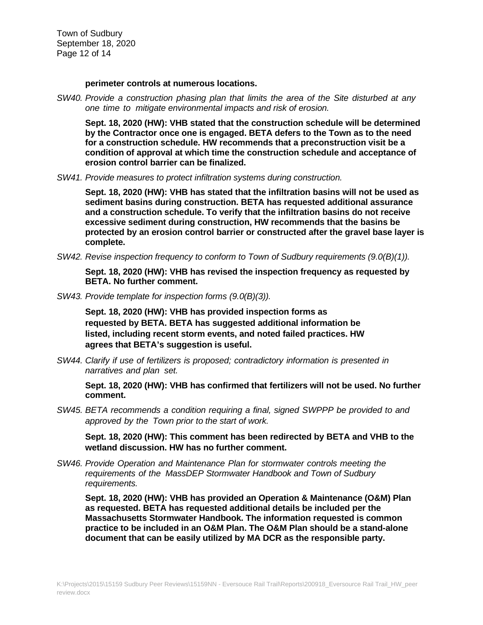Town of Sudbury September 18, 2020 Page 12 of 14

**perimeter controls at numerous locations.**

*SW40. Provide a construction phasing plan that limits the area of the Site disturbed at any one time to mitigate environmental impacts and risk of erosion.*

**Sept. 18, 2020 (HW): VHB stated that the construction schedule will be determined by the Contractor once one is engaged. BETA defers to the Town as to the need for a construction schedule. HW recommends that a preconstruction visit be a condition of approval at which time the construction schedule and acceptance of erosion control barrier can be finalized.**

*SW41. Provide measures to protect infiltration systems during construction.*

**Sept. 18, 2020 (HW): VHB has stated that the infiltration basins will not be used as sediment basins during construction. BETA has requested additional assurance and a construction schedule. To verify that the infiltration basins do not receive excessive sediment during construction, HW recommends that the basins be protected by an erosion control barrier or constructed after the gravel base layer is complete.**

*SW42. Revise inspection frequency to conform to Town of Sudbury requirements (9.0(B)(1)).*

**Sept. 18, 2020 (HW): VHB has revised the inspection frequency as requested by BETA. No further comment.**

*SW43. Provide template for inspection forms (9.0(B)(3)).*

**Sept. 18, 2020 (HW): VHB has provided inspection forms as requested by BETA. BETA has suggested additional information be listed, including recent storm events, and noted failed practices. HW agrees that BETA's suggestion is useful.**

*SW44. Clarify if use of fertilizers is proposed; contradictory information is presented in narratives and plan set.*

**Sept. 18, 2020 (HW): VHB has confirmed that fertilizers will not be used. No further comment.**

*SW45. BETA recommends a condition requiring a final, signed SWPPP be provided to and approved by the Town prior to the start of work.*

**Sept. 18, 2020 (HW): This comment has been redirected by BETA and VHB to the wetland discussion. HW has no further comment.**

*SW46. Provide Operation and Maintenance Plan for stormwater controls meeting the requirements of the MassDEP Stormwater Handbook and Town of Sudbury requirements.*

**Sept. 18, 2020 (HW): VHB has provided an Operation & Maintenance (O&M) Plan as requested. BETA has requested additional details be included per the Massachusetts Stormwater Handbook. The information requested is common practice to be included in an O&M Plan. The O&M Plan should be a stand-alone document that can be easily utilized by MA DCR as the responsible party.**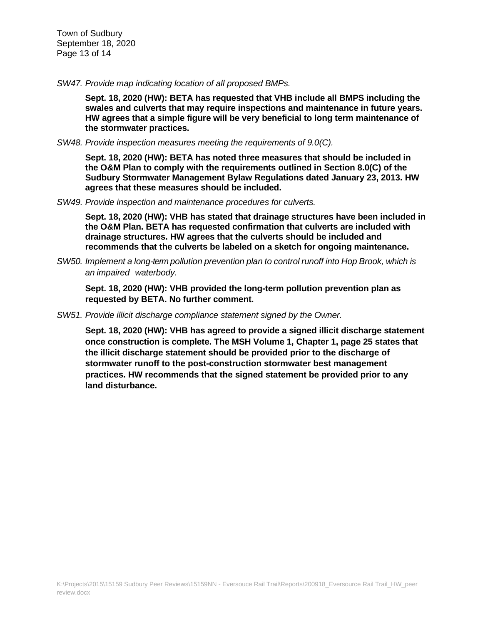Town of Sudbury September 18, 2020 Page 13 of 14

*SW47. Provide map indicating location of all proposed BMPs.*

**Sept. 18, 2020 (HW): BETA has requested that VHB include all BMPS including the swales and culverts that may require inspections and maintenance in future years. HW agrees that a simple figure will be very beneficial to long term maintenance of the stormwater practices.**

*SW48. Provide inspection measures meeting the requirements of 9.0(C).*

**Sept. 18, 2020 (HW): BETA has noted three measures that should be included in the O&M Plan to comply with the requirements outlined in Section 8.0(C) of the Sudbury Stormwater Management Bylaw Regulations dated January 23, 2013. HW agrees that these measures should be included.**

*SW49. Provide inspection and maintenance procedures for culverts.*

**Sept. 18, 2020 (HW): VHB has stated that drainage structures have been included in the O&M Plan. BETA has requested confirmation that culverts are included with drainage structures. HW agrees that the culverts should be included and recommends that the culverts be labeled on a sketch for ongoing maintenance.**

*SW50. Implement a long-term pollution prevention plan to control runoff into Hop Brook, which is an impaired waterbody.*

**Sept. 18, 2020 (HW): VHB provided the long-term pollution prevention plan as requested by BETA. No further comment.**

*SW51. Provide illicit discharge compliance statement signed by the Owner.*

**Sept. 18, 2020 (HW): VHB has agreed to provide a signed illicit discharge statement once construction is complete. The MSH Volume 1, Chapter 1, page 25 states that the illicit discharge statement should be provided prior to the discharge of stormwater runoff to the post-construction stormwater best management practices. HW recommends that the signed statement be provided prior to any land disturbance.**